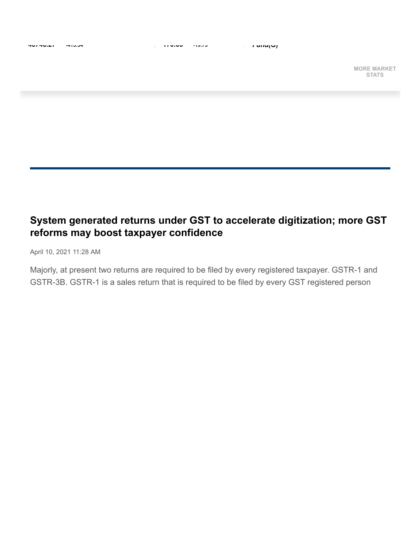

**MORE MARKET STATS**

## **System generated returns under GST to accelerate digitization; more GST reforms may boost taxpayer confidence**

April 10, 2021 11:28 AM

Majorly, at present two returns are required to be filed by every registered taxpayer. GSTR-1 and GSTR-3B. GSTR-1 is a sales return that is required to be filed by every GST registered person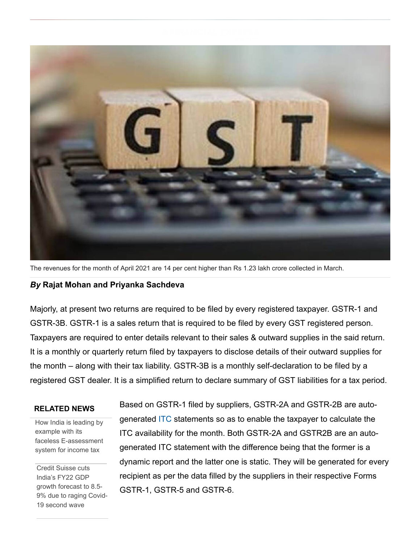

The revenues for the month of April 2021 are 14 per cent higher than Rs 1.23 lakh crore collected in March.

## *By* **Rajat Mohan and Priyanka Sachdeva**

Majorly, at present two returns are required to be filed by every registered taxpayer. GSTR-1 and GSTR-3B. GSTR-1 is a sales return that is required to be filed by every GST registered person. Taxpayers are required to enter details relevant to their sales & outward supplies in the said return. It is a monthly or quarterly return filed by taxpayers to disclose details of their outward supplies for the month – along with their tax liability. GSTR-3B is a monthly self-declaration to be filed by a registered GST dealer. It is a simplified return to declare summary of GST liabilities for a tax period.

## **RELATED NEWS**

[How India is leading by](https://www.financialexpress.com/economy/how-india-is-leading-by-example-with-its-faceless-e-assessment-system-for-income-tax/2247824/) example with its faceless E-assessment system for income tax

Credit Suisse cuts India's FY22 GDP growth forecast to 8.5- [9% due to raging Covid-](https://www.financialexpress.com/economy/credit-suisse-cuts-indias-fy22-gdp-growth-forecast-to-8-5-9-due-to-raging-covid-19-second-wave/2247434/)19 second wave

Based on GSTR-1 filed by suppliers, GSTR-2A and GSTR-2B are autogenerated [ITC](https://www.financialexpress.com/market/stock-market/itc-ltd-stock-price/) statements so as to enable the taxpayer to calculate the ITC availability for the month. Both GSTR-2A and GSTR2B are an autogenerated ITC statement with the difference being that the former is a dynamic report and the latter one is static. They will be generated for every recipient as per the data filled by the suppliers in their respective Forms GSTR-1, GSTR-5 and GSTR-6.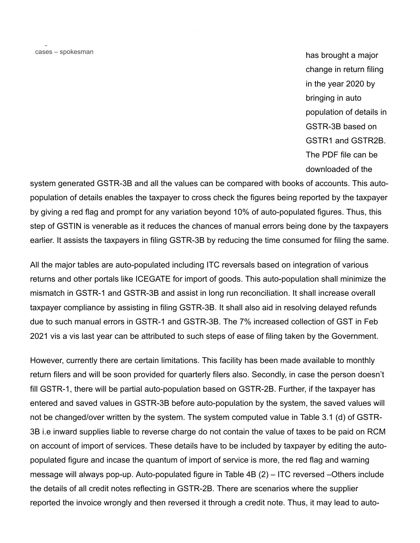surge in COVID-19 cases – spokesman

has brought a major change in return filing in the year 2020 by bringing in auto population of details in GSTR-3B based on GSTR1 and GSTR2B. The PDF file can be downloaded of the

system generated GSTR-3B and all the values can be compared with books of accounts. This autopopulation of details enables the taxpayer to cross check the figures being reported by the taxpayer by giving a red flag and prompt for any variation beyond 10% of auto-populated figures. Thus, this step of GSTIN is venerable as it reduces the chances of manual errors being done by the taxpayers earlier. It assists the taxpayers in filing GSTR-3B by reducing the time consumed for filing the same.

All the major tables are auto-populated including ITC reversals based on integration of various returns and other portals like ICEGATE for import of goods. This auto-population shall minimize the mismatch in GSTR-1 and GSTR-3B and assist in long run reconciliation. It shall increase overall taxpayer compliance by assisting in filing GSTR-3B. It shall also aid in resolving delayed refunds due to such manual errors in GSTR-1 and GSTR-3B. The 7% increased collection of GST in Feb 2021 vis a vis last year can be attributed to such steps of ease of filing taken by the Government.

However, currently there are certain limitations. This facility has been made available to monthly return filers and will be soon provided for quarterly filers also. Secondly, in case the person doesn't fill GSTR-1, there will be partial auto-population based on GSTR-2B. Further, if the taxpayer has entered and saved values in GSTR-3B before auto-population by the system, the saved values will not be changed/over written by the system. The system computed value in Table 3.1 (d) of GSTR-3B i.e inward supplies liable to reverse charge do not contain the value of taxes to be paid on RCM on account of import of services. These details have to be included by taxpayer by editing the autopopulated figure and incase the quantum of import of service is more, the red flag and warning message will always pop-up. Auto-populated figure in Table 4B (2) – ITC reversed –Others include the details of all credit notes reflecting in GSTR-2B. There are scenarios where the supplier reported the invoice wrongly and then reversed it through a credit note. Thus, it may lead to auto